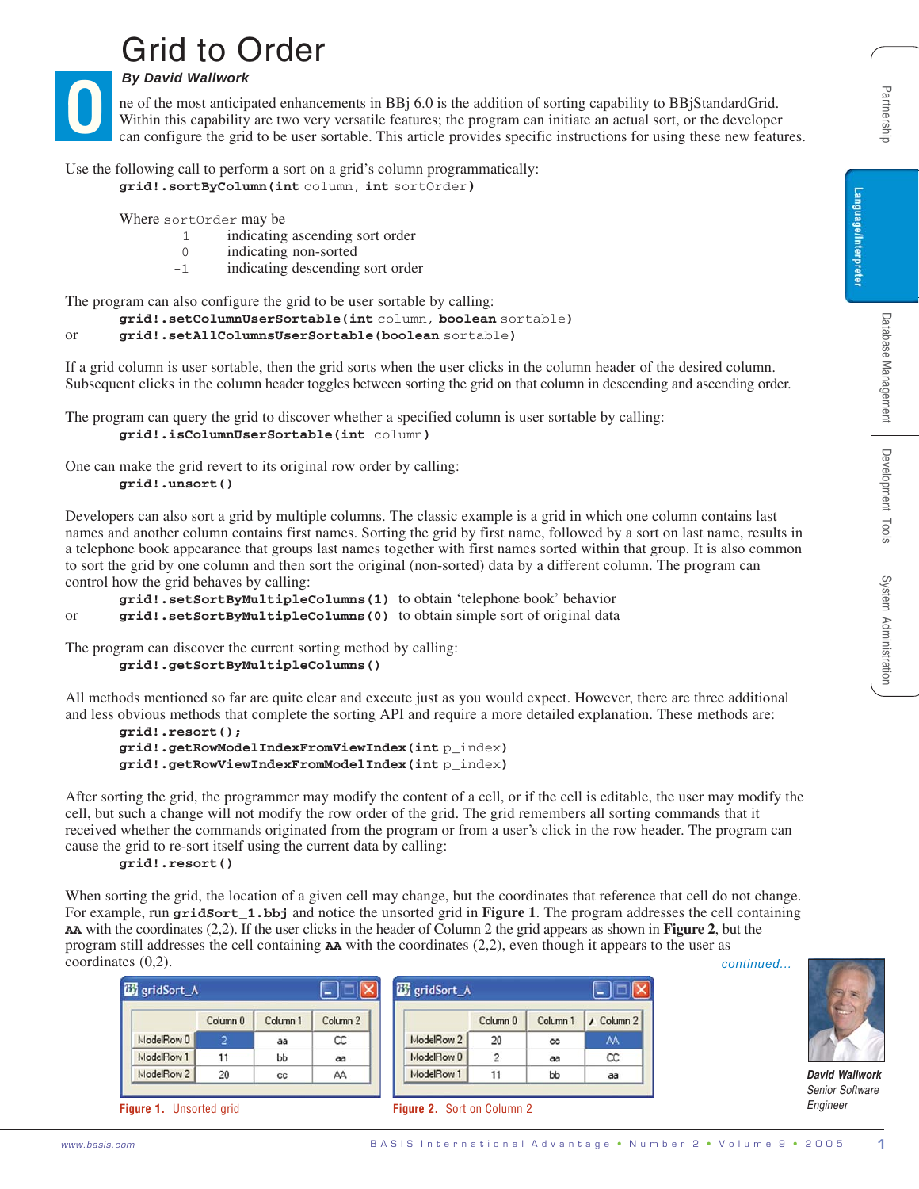# Grid to Order

*By David Wallwork* **O**

- 1 indicating ascending sort order
- 0 indicating non-sorted
- -1 indicating descending sort order

```
grid!.setSortByMultipleColumns(1) to obtain 'telephone book' behavior
or grid!.setSortByMultipleColumns(0) to obtain simple sort of original data
```

```
grid!.getSortByMultipleColumns()
```

```
grid!.resort();
grid!.getRowModelIndexFromViewIndex(int p_index)
grid!.getRowViewIndexFromModelIndex(int p_index)
```
#### **grid!.resort()**

| <i>Dy Davia manwor</i> n<br>ne of the most anticipated enhancements in BBj 6.0 is the addition of sorting capability to BBjStandardGrid.<br>Within this capability are two very versatile features; the program can initiate an actual sort, or the developer<br>can configure the grid to be user sortable. This article provides specific instructions for using these new features.                                                                                                                                                                                                                             | Partnership            |
|--------------------------------------------------------------------------------------------------------------------------------------------------------------------------------------------------------------------------------------------------------------------------------------------------------------------------------------------------------------------------------------------------------------------------------------------------------------------------------------------------------------------------------------------------------------------------------------------------------------------|------------------------|
| Use the following call to perform a sort on a grid's column programmatically:<br>grid!.sortByColumn(int column, int sortOrder)<br>Where sortOrder may be<br>indicating ascending sort order<br>1<br>indicating non-sorted<br>$\mathbf 0$<br>indicating descending sort order<br>$-1$                                                                                                                                                                                                                                                                                                                               | Language/Interpreter   |
| The program can also configure the grid to be user sortable by calling:<br>grid!.setColumnUserSortable(int column, boolean sortable)<br>grid!.setAllColumnsUserSortable(boolean sortable)<br><sub>or</sub><br>If a grid column is user sortable, then the grid sorts when the user clicks in the column header of the desired column.<br>Subsequent clicks in the column header toggles between sorting the grid on that column in descending and ascending order.<br>The program can query the grid to discover whether a specified column is user sortable by calling:<br>grid!.isColumnUserSortable(int column) | Database Management    |
| One can make the grid revert to its original row order by calling:<br>grid!.unsort()<br>Developers can also sort a grid by multiple columns. The classic example is a grid in which one column contains last<br>names and another column contains first names. Sorting the grid by first name, followed by a sort on last name, results in<br>a telephone book appearance that groups last names together with first names sorted within that group. It is also common                                                                                                                                             | Development Tools      |
| to sort the grid by one column and then sort the original (non-sorted) data by a different column. The program can<br>control how the grid behaves by calling:<br>grid!.setSortByMultipleColumns(1) to obtain 'telephone book' behavior<br>grid!.setSortByMultipleColumns (0) to obtain simple sort of original data<br>or<br>The program can discover the current sorting method by calling:<br>grid!.getSortByMultipleColumns()                                                                                                                                                                                  | System Administration  |
| All methods mentioned so far are quite clear and execute just as you would expect. However, there are three additional<br>and less obvious methods that complete the sorting API and require a more detailed explanation. These methods are:<br>$grid!$ .resort $()$ ;<br>grid!.getRowModelIndexFromViewIndex(int p_index)<br>grid!.getRowViewIndexFromModelIndex(int p_index)                                                                                                                                                                                                                                     |                        |
| After sorting the grid, the programmer may modify the content of a cell, or if the cell is editable, the user may modify the<br>cell, but such a change will not modify the row order of the grid. The grid remembers all sorting commands that it<br>received whether the commands originated from the program or from a user's click in the row header. The program can<br>cause the grid to re-sort itself using the current data by calling:<br>grid!.resort()                                                                                                                                                 |                        |
| When sorting the grid, the location of a given cell may change, but the coordinates that reference that cell do not change.<br>For example, run gridsort_1.bbj and notice the unsorted grid in Figure 1. The program addresses the cell containing<br>AA with the coordinates (2,2). If the user clicks in the header of Column 2 the grid appears as shown in Figure 2, but the<br>program still addresses the cell containing $AA$ with the coordinates $(2,2)$ , even though it appears to the user as<br>coordinates $(0,2)$ .<br>continued                                                                    |                        |
| <b>B</b> gridSort_A<br><b>B</b> gridSort_A<br>$\vert$ – $\vert$<br>Column 2<br>/ Column 2<br>Column <sub>0</sub><br>Column 1<br>Column <sub>0</sub><br>Column 1<br>ModelRow 0<br>$\overline{2}$<br>ModelRow 2<br>CC<br>20<br>AA<br>aa<br>cc<br>ModelRow 1<br>ModelRow 0<br>$\overline{2}$<br>11<br>CC<br>bb<br>aa<br>aa<br>ModelRow 2<br>ModelRow 1<br>20<br>AA<br>11<br>bb<br>cc<br>aa                                                                                                                                                                                                                            | <b>David Wallwork</b>  |
| Engineer<br>Figure 1. Unsorted grid<br>Figure 2. Sort on Column 2<br>BASIS International Advantage . Number 2 . Volume 9 . 2005<br>www.basis.com                                                                                                                                                                                                                                                                                                                                                                                                                                                                   | <b>Senior Software</b> |



*David Wallwork Senior Software Engineer*